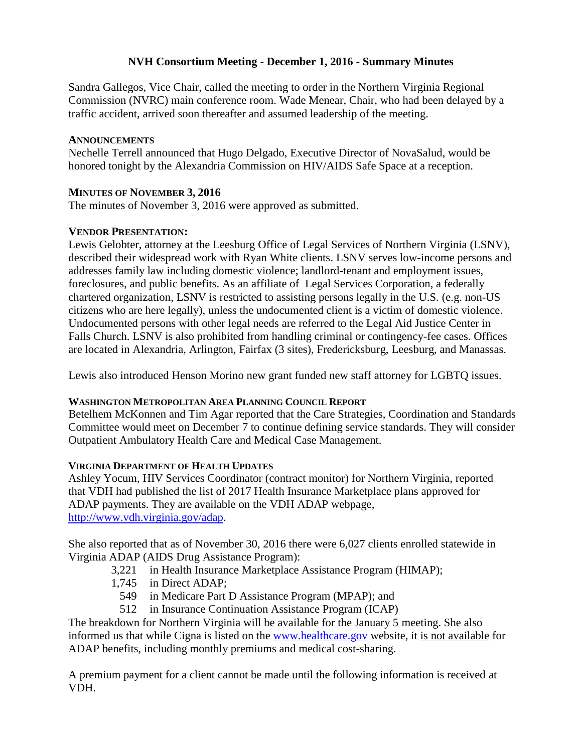# **NVH Consortium Meeting - December 1, 2016 - Summary Minutes**

Sandra Gallegos, Vice Chair, called the meeting to order in the Northern Virginia Regional Commission (NVRC) main conference room. Wade Menear, Chair, who had been delayed by a traffic accident, arrived soon thereafter and assumed leadership of the meeting.

# **ANNOUNCEMENTS**

Nechelle Terrell announced that Hugo Delgado, Executive Director of NovaSalud, would be honored tonight by the Alexandria Commission on HIV/AIDS Safe Space at a reception.

# **MINUTES OF NOVEMBER 3, 2016**

The minutes of November 3, 2016 were approved as submitted.

# **VENDOR PRESENTATION:**

Lewis Gelobter, attorney at the Leesburg Office of Legal Services of Northern Virginia (LSNV), described their widespread work with Ryan White clients. LSNV serves low-income persons and addresses family law including domestic violence; landlord-tenant and employment issues, foreclosures, and public benefits. As an affiliate of Legal Services Corporation, a federally chartered organization, LSNV is restricted to assisting persons legally in the U.S. (e.g. non-US citizens who are here legally), unless the undocumented client is a victim of domestic violence. Undocumented persons with other legal needs are referred to the Legal Aid Justice Center in Falls Church. LSNV is also prohibited from handling criminal or contingency-fee cases. Offices are located in Alexandria, Arlington, Fairfax (3 sites), Fredericksburg, Leesburg, and Manassas.

Lewis also introduced Henson Morino new grant funded new staff attorney for LGBTQ issues.

## **WASHINGTON METROPOLITAN AREA PLANNING COUNCIL REPORT**

Betelhem McKonnen and Tim Agar reported that the Care Strategies, Coordination and Standards Committee would meet on December 7 to continue defining service standards. They will consider Outpatient Ambulatory Health Care and Medical Case Management.

## **VIRGINIA DEPARTMENT OF HEALTH UPDATES**

Ashley Yocum, HIV Services Coordinator (contract monitor) for Northern Virginia, reported that VDH had published the list of 2017 Health Insurance Marketplace plans approved for ADAP payments. They are available on the [VDH ADAP webpage,](http://www.vdh.virginia.gov/disease-prevention/virginia-aids-drug-assistance-program-adap/affordable-care-act-2016/) [http://www.vdh.virginia.gov/adap.](http://www.vdh.virginia.gov/adap)

She also reported that as of November 30, 2016 there were 6,027 clients enrolled statewide in Virginia ADAP (AIDS Drug Assistance Program):

- 3,221 in Health Insurance Marketplace Assistance Program (HIMAP);
- 1,745 in Direct ADAP;
	- 549 in Medicare Part D Assistance Program (MPAP); and
	- 512 in Insurance Continuation Assistance Program (ICAP)

The breakdown for Northern Virginia will be available for the January 5 meeting. She also informed us that while Cigna is listed on the [www.healthcare.gov](http://www.healthcare.gov/) website, it is not available for ADAP benefits, including monthly premiums and medical cost-sharing.

A premium payment for a client cannot be made until the following information is received at VDH.